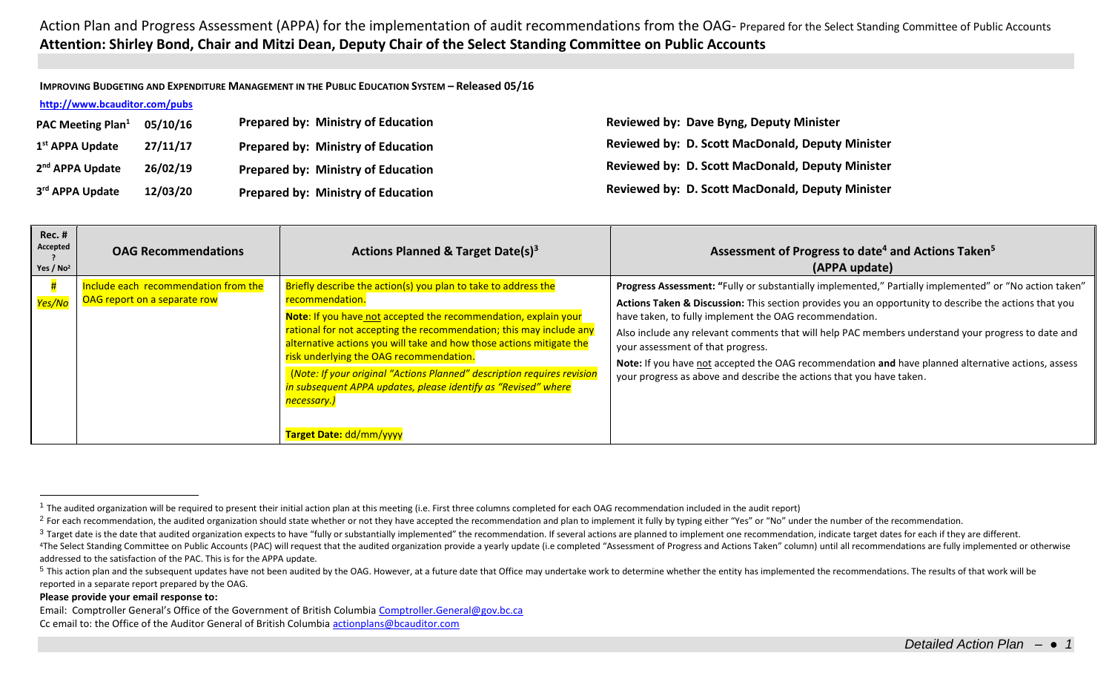**IMPROVING BUDGETING AND EXPENDITURE MANAGEMENT IN THE PUBLIC EDUCATION SYSTEM – Released 05/16**

### **<http://www.bcauditor.com/pubs>**

| <b>PAC Meeting Plan</b> <sup>1</sup> | 05/10/16 | <b>Prepared by: Ministry of Education</b> | <b>Reviewed by: Dave Byng, Deputy Minister</b>          |
|--------------------------------------|----------|-------------------------------------------|---------------------------------------------------------|
| 1 <sup>st</sup> APPA Update          | 27/11/17 | <b>Prepared by: Ministry of Education</b> | <b>Reviewed by: D. Scott MacDonald, Deputy Minister</b> |
| 2 <sup>nd</sup> APPA Update          | 26/02/19 | <b>Prepared by: Ministry of Education</b> | <b>Reviewed by: D. Scott MacDonald, Deputy Minister</b> |
| 3rd APPA Update                      | 12/03/20 | <b>Prepared by: Ministry of Education</b> | <b>Reviewed by: D. Scott MacDonald, Deputy Minister</b> |

| <b>Rec. #</b><br>Accepted<br>Yes / $No2$ | <b>OAG Recommendations</b>                                           | Actions Planned & Target Date(s) <sup>3</sup>                                                                                                                                                                                                                                                                                                                                                                                                                                                                                                      | Assessment of Progress to date <sup>4</sup> and Actions Taken <sup>5</sup><br>(APPA update)                                                                                                                                                                                                                                                                                                                                                                                                                                                                                                        |
|------------------------------------------|----------------------------------------------------------------------|----------------------------------------------------------------------------------------------------------------------------------------------------------------------------------------------------------------------------------------------------------------------------------------------------------------------------------------------------------------------------------------------------------------------------------------------------------------------------------------------------------------------------------------------------|----------------------------------------------------------------------------------------------------------------------------------------------------------------------------------------------------------------------------------------------------------------------------------------------------------------------------------------------------------------------------------------------------------------------------------------------------------------------------------------------------------------------------------------------------------------------------------------------------|
| Yes/No                                   | Include each recommendation from the<br>OAG report on a separate row | Briefly describe the action(s) you plan to take to address the<br>recommendation.<br>Note: If you have not accepted the recommendation, explain your<br>rational for not accepting the recommendation; this may include any<br>alternative actions you will take and how those actions mitigate the<br>risk underlying the OAG recommendation.<br>(Note: If your original "Actions Planned" description requires revision<br>in subsequent APPA updates, please identify as "Revised" where<br><mark>necessary.)</mark><br>Target Date: dd/mm/yyyy | Progress Assessment: "Fully or substantially implemented," Partially implemented" or "No action taken"<br>Actions Taken & Discussion: This section provides you an opportunity to describe the actions that you<br>have taken, to fully implement the OAG recommendation.<br>Also include any relevant comments that will help PAC members understand your progress to date and<br>your assessment of that progress.<br>Note: If you have not accepted the OAG recommendation and have planned alternative actions, assess<br>your progress as above and describe the actions that you have taken. |

#### **Please provide your email response to:**

 $\overline{a}$ 

Email: Comptroller General's Office of the Government of British Columbia [Comptroller.General@gov.bc.ca](mailto:Comptroller.General@gov.bc.ca) Cc email to: the Office of the Auditor General of British Columbi[a actionplans@bcauditor.com](mailto:actionplans@bcauditor.com)

 $1$  The audited organization will be required to present their initial action plan at this meeting (i.e. First three columns completed for each OAG recommendation included in the audit report)

<sup>&</sup>lt;sup>2</sup> For each recommendation, the audited organization should state whether or not they have accepted the recommendation and plan to implement it fully by typing either "Yes" or "No" under the number of the recommendation.

<sup>&</sup>lt;sup>3</sup> Target date is the date that audited organization expects to have "fully or substantially implemented" the recommendation. If several actions are planned to implement one recommendation, indicate target dates for each

<sup>&</sup>lt;sup>4</sup>The Select Standing Committee on Public Accounts (PAC) will request that the audited organization provide a yearly update (i.e completed "Assessment of Progress and Actions Taken" column) until all recommendations are f addressed to the satisfaction of the PAC. This is for the APPA update.

<sup>&</sup>lt;sup>5</sup> This action plan and the subsequent updates have not been audited by the OAG. However, at a future date that Office may undertake work to determine whether the entity has implemented the recommendations. The results of reported in a separate report prepared by the OAG.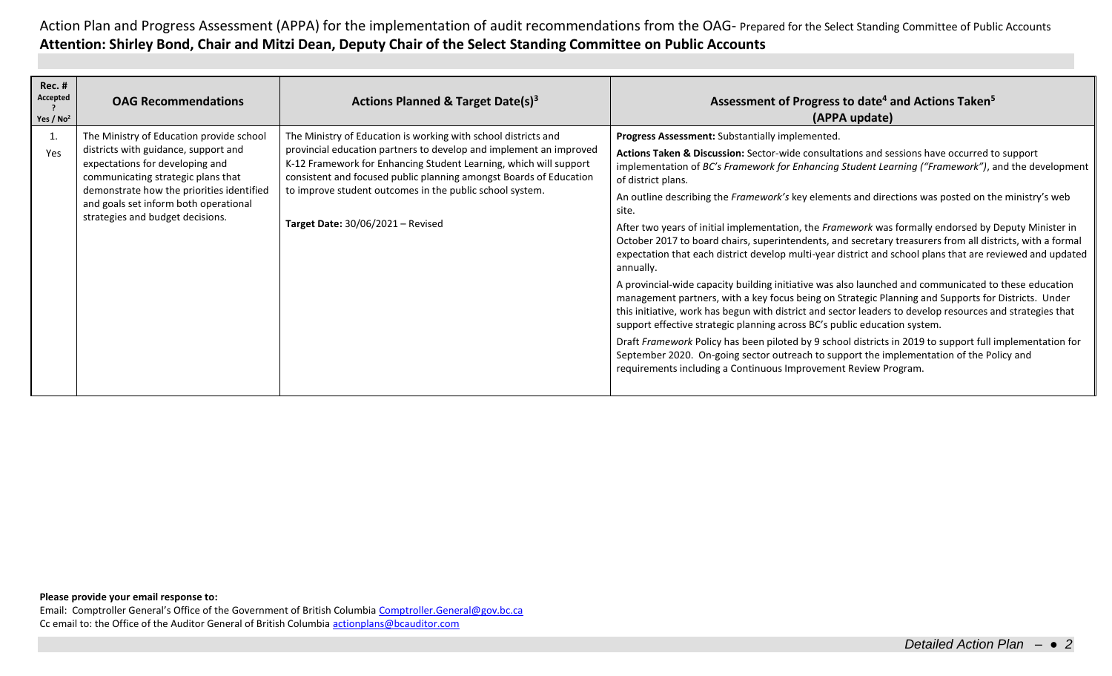| <b>Rec. #</b><br>Accepted<br>Yes / $No2$ | <b>OAG Recommendations</b>                                                                                                                                                                                                                                                          | Actions Planned & Target Date(s) <sup>3</sup>                                                                                                                                                                                                                                                                                                                                           | Assessment of Progress to date <sup>4</sup> and Actions Taken <sup>5</sup><br>(APPA update)                                                                                                                                                                                                                                                                                                                                                                                                                                                                                                                                                                                                                                                                                                                                                                                                                                                                                                                                                                                                                                                                                                                                                                                                                                                                                                                                  |
|------------------------------------------|-------------------------------------------------------------------------------------------------------------------------------------------------------------------------------------------------------------------------------------------------------------------------------------|-----------------------------------------------------------------------------------------------------------------------------------------------------------------------------------------------------------------------------------------------------------------------------------------------------------------------------------------------------------------------------------------|------------------------------------------------------------------------------------------------------------------------------------------------------------------------------------------------------------------------------------------------------------------------------------------------------------------------------------------------------------------------------------------------------------------------------------------------------------------------------------------------------------------------------------------------------------------------------------------------------------------------------------------------------------------------------------------------------------------------------------------------------------------------------------------------------------------------------------------------------------------------------------------------------------------------------------------------------------------------------------------------------------------------------------------------------------------------------------------------------------------------------------------------------------------------------------------------------------------------------------------------------------------------------------------------------------------------------------------------------------------------------------------------------------------------------|
| 1.<br>Yes                                | The Ministry of Education provide school<br>districts with guidance, support and<br>expectations for developing and<br>communicating strategic plans that<br>demonstrate how the priorities identified<br>and goals set inform both operational<br>strategies and budget decisions. | The Ministry of Education is working with school districts and<br>provincial education partners to develop and implement an improved<br>K-12 Framework for Enhancing Student Learning, which will support<br>consistent and focused public planning amongst Boards of Education<br>to improve student outcomes in the public school system.<br><b>Target Date: 30/06/2021 - Revised</b> | Progress Assessment: Substantially implemented.<br>Actions Taken & Discussion: Sector-wide consultations and sessions have occurred to support<br>implementation of BC's Framework for Enhancing Student Learning ("Framework"), and the development<br>of district plans.<br>An outline describing the Framework's key elements and directions was posted on the ministry's web<br>site.<br>After two years of initial implementation, the Framework was formally endorsed by Deputy Minister in<br>October 2017 to board chairs, superintendents, and secretary treasurers from all districts, with a formal<br>expectation that each district develop multi-year district and school plans that are reviewed and updated<br>annually.<br>A provincial-wide capacity building initiative was also launched and communicated to these education<br>management partners, with a key focus being on Strategic Planning and Supports for Districts. Under<br>this initiative, work has begun with district and sector leaders to develop resources and strategies that<br>support effective strategic planning across BC's public education system.<br>Draft Framework Policy has been piloted by 9 school districts in 2019 to support full implementation for<br>September 2020. On-going sector outreach to support the implementation of the Policy and<br>requirements including a Continuous Improvement Review Program. |

#### **Please provide your email response to:**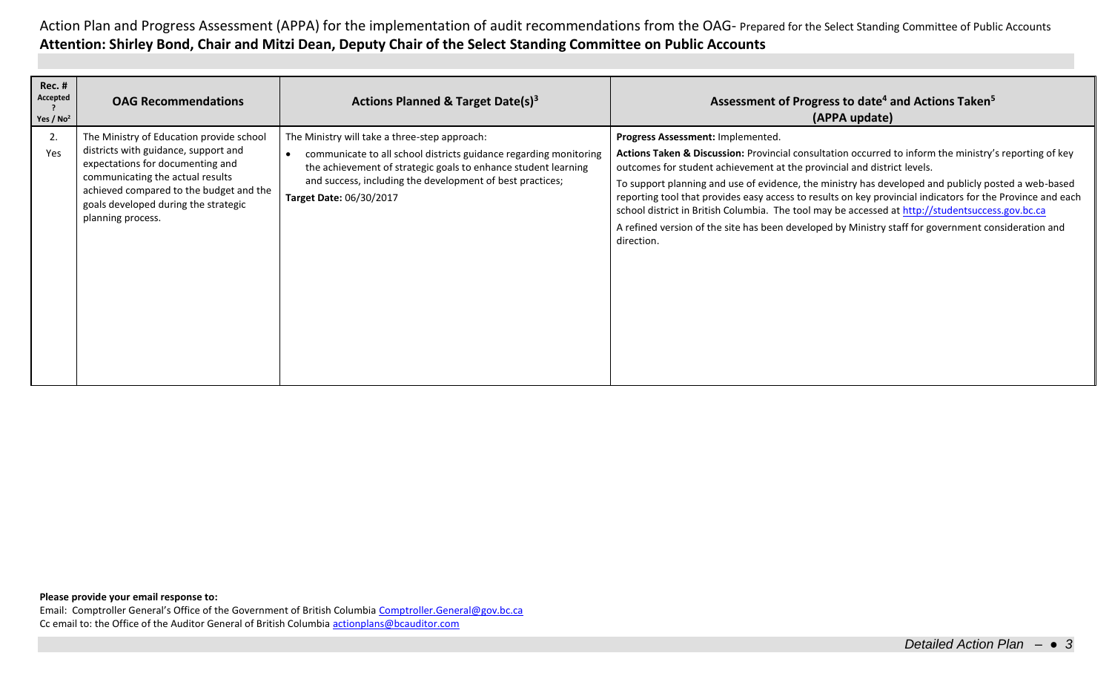| <b>Rec. #</b><br>Accepted<br>Yes / $No2$ | <b>OAG Recommendations</b>                                                                                                                                                                                                                                       | Actions Planned & Target Date(s) <sup>3</sup>                                                                                                                                                                                                                                | Assessment of Progress to date <sup>4</sup> and Actions Taken <sup>5</sup><br>(APPA update)                                                                                                                                                                                                                                                                                                                                                                                                                                                                                                                                                                          |
|------------------------------------------|------------------------------------------------------------------------------------------------------------------------------------------------------------------------------------------------------------------------------------------------------------------|------------------------------------------------------------------------------------------------------------------------------------------------------------------------------------------------------------------------------------------------------------------------------|----------------------------------------------------------------------------------------------------------------------------------------------------------------------------------------------------------------------------------------------------------------------------------------------------------------------------------------------------------------------------------------------------------------------------------------------------------------------------------------------------------------------------------------------------------------------------------------------------------------------------------------------------------------------|
| 2.<br>Yes                                | The Ministry of Education provide school<br>districts with guidance, support and<br>expectations for documenting and<br>communicating the actual results<br>achieved compared to the budget and the<br>goals developed during the strategic<br>planning process. | The Ministry will take a three-step approach:<br>communicate to all school districts guidance regarding monitoring<br>the achievement of strategic goals to enhance student learning<br>and success, including the development of best practices;<br>Target Date: 06/30/2017 | Progress Assessment: Implemented.<br>Actions Taken & Discussion: Provincial consultation occurred to inform the ministry's reporting of key<br>outcomes for student achievement at the provincial and district levels.<br>To support planning and use of evidence, the ministry has developed and publicly posted a web-based<br>reporting tool that provides easy access to results on key provincial indicators for the Province and each<br>school district in British Columbia. The tool may be accessed at http://studentsuccess.gov.bc.ca<br>A refined version of the site has been developed by Ministry staff for government consideration and<br>direction. |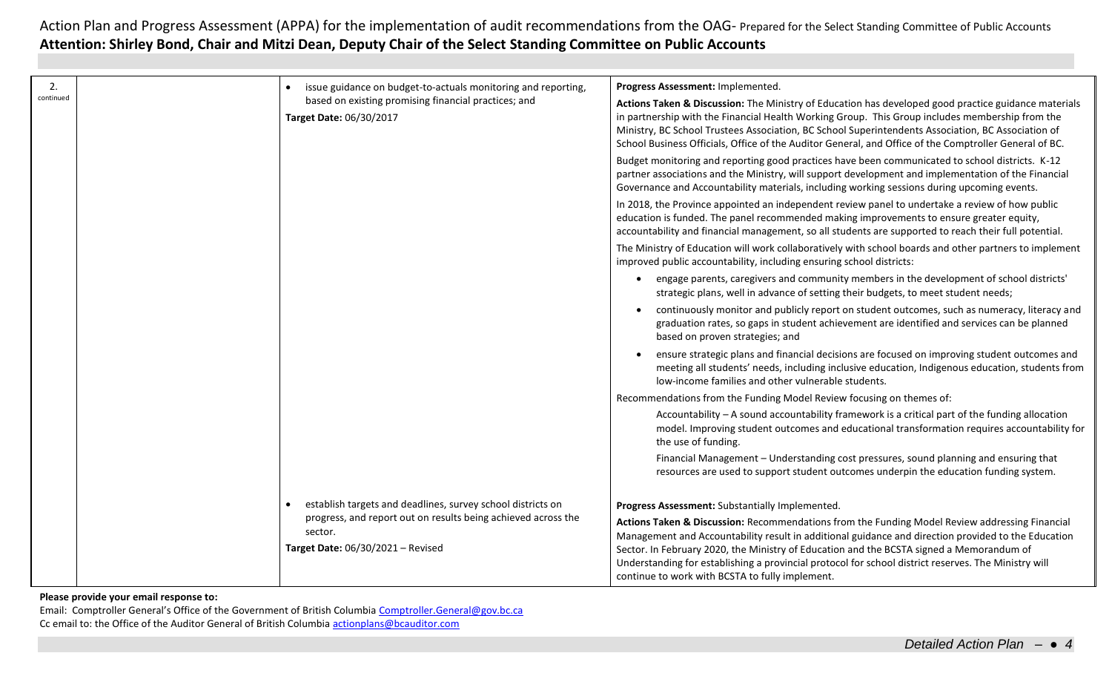| 2.<br>continued | issue guidance on budget-to-actuals monitoring and reporting,<br>based on existing promising financial practices; and<br>Target Date: 06/30/2017                             | Progress Assessment: Implemented.<br>Actions Taken & Discussion: The Ministry of Education has developed good practice guidance materials<br>in partnership with the Financial Health Working Group. This Group includes membership from the<br>Ministry, BC School Trustees Association, BC School Superintendents Association, BC Association of<br>School Business Officials, Office of the Auditor General, and Office of the Comptroller General of BC.<br>Budget monitoring and reporting good practices have been communicated to school districts. K-12<br>partner associations and the Ministry, will support development and implementation of the Financial<br>Governance and Accountability materials, including working sessions during upcoming events.<br>In 2018, the Province appointed an independent review panel to undertake a review of how public<br>education is funded. The panel recommended making improvements to ensure greater equity,<br>accountability and financial management, so all students are supported to reach their full potential.<br>The Ministry of Education will work collaboratively with school boards and other partners to implement<br>improved public accountability, including ensuring school districts:<br>engage parents, caregivers and community members in the development of school districts'<br>strategic plans, well in advance of setting their budgets, to meet student needs;<br>continuously monitor and publicly report on student outcomes, such as numeracy, literacy and<br>graduation rates, so gaps in student achievement are identified and services can be planned<br>based on proven strategies; and<br>ensure strategic plans and financial decisions are focused on improving student outcomes and<br>meeting all students' needs, including inclusive education, Indigenous education, students from<br>low-income families and other vulnerable students.<br>Recommendations from the Funding Model Review focusing on themes of:<br>Accountability - A sound accountability framework is a critical part of the funding allocation<br>model. Improving student outcomes and educational transformation requires accountability for<br>the use of funding.<br>Financial Management - Understanding cost pressures, sound planning and ensuring that<br>resources are used to support student outcomes underpin the education funding system. |
|-----------------|------------------------------------------------------------------------------------------------------------------------------------------------------------------------------|--------------------------------------------------------------------------------------------------------------------------------------------------------------------------------------------------------------------------------------------------------------------------------------------------------------------------------------------------------------------------------------------------------------------------------------------------------------------------------------------------------------------------------------------------------------------------------------------------------------------------------------------------------------------------------------------------------------------------------------------------------------------------------------------------------------------------------------------------------------------------------------------------------------------------------------------------------------------------------------------------------------------------------------------------------------------------------------------------------------------------------------------------------------------------------------------------------------------------------------------------------------------------------------------------------------------------------------------------------------------------------------------------------------------------------------------------------------------------------------------------------------------------------------------------------------------------------------------------------------------------------------------------------------------------------------------------------------------------------------------------------------------------------------------------------------------------------------------------------------------------------------------------------------------------------------------------------------------------------------------------------------------------------------------------------------------------------------------------------------------------------------------------------------------------------------------------------------------------------------------------------------------------------------------------------------------------------------------------------------------------------------------------------------------------------|
|                 | establish targets and deadlines, survey school districts on<br>progress, and report out on results being achieved across the<br>sector.<br>Target Date: 06/30/2021 - Revised | Progress Assessment: Substantially Implemented.<br>Actions Taken & Discussion: Recommendations from the Funding Model Review addressing Financial<br>Management and Accountability result in additional guidance and direction provided to the Education<br>Sector. In February 2020, the Ministry of Education and the BCSTA signed a Memorandum of<br>Understanding for establishing a provincial protocol for school district reserves. The Ministry will<br>continue to work with BCSTA to fully implement.                                                                                                                                                                                                                                                                                                                                                                                                                                                                                                                                                                                                                                                                                                                                                                                                                                                                                                                                                                                                                                                                                                                                                                                                                                                                                                                                                                                                                                                                                                                                                                                                                                                                                                                                                                                                                                                                                                                |

#### **Please provide your email response to:**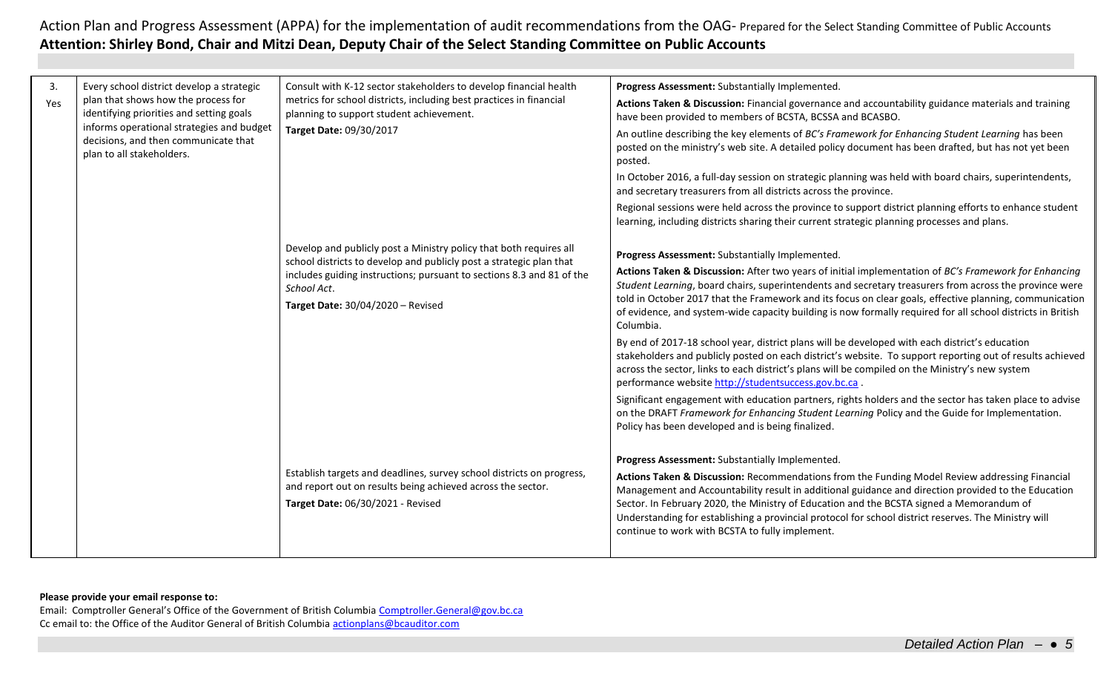| 3.<br>Yes | Every school district develop a strategic<br>plan that shows how the process for<br>identifying priorities and setting goals<br>informs operational strategies and budget<br>decisions, and then communicate that<br>plan to all stakeholders. | Consult with K-12 sector stakeholders to develop financial health<br>metrics for school districts, including best practices in financial<br>planning to support student achievement.<br>Target Date: 09/30/2017<br>Develop and publicly post a Ministry policy that both requires all | Progress Assessment: Substantially Implemented.<br>Actions Taken & Discussion: Financial governance and accountability guidance materials and training<br>have been provided to members of BCSTA, BCSSA and BCASBO.<br>An outline describing the key elements of BC's Framework for Enhancing Student Learning has been<br>posted on the ministry's web site. A detailed policy document has been drafted, but has not yet been<br>posted.<br>In October 2016, a full-day session on strategic planning was held with board chairs, superintendents,<br>and secretary treasurers from all districts across the province.<br>Regional sessions were held across the province to support district planning efforts to enhance student<br>learning, including districts sharing their current strategic planning processes and plans.<br>Progress Assessment: Substantially Implemented. |
|-----------|------------------------------------------------------------------------------------------------------------------------------------------------------------------------------------------------------------------------------------------------|---------------------------------------------------------------------------------------------------------------------------------------------------------------------------------------------------------------------------------------------------------------------------------------|---------------------------------------------------------------------------------------------------------------------------------------------------------------------------------------------------------------------------------------------------------------------------------------------------------------------------------------------------------------------------------------------------------------------------------------------------------------------------------------------------------------------------------------------------------------------------------------------------------------------------------------------------------------------------------------------------------------------------------------------------------------------------------------------------------------------------------------------------------------------------------------|
|           |                                                                                                                                                                                                                                                | school districts to develop and publicly post a strategic plan that<br>includes guiding instructions; pursuant to sections 8.3 and 81 of the<br>School Act.<br>Target Date: 30/04/2020 - Revised                                                                                      | Actions Taken & Discussion: After two years of initial implementation of BC's Framework for Enhancing<br>Student Learning, board chairs, superintendents and secretary treasurers from across the province were<br>told in October 2017 that the Framework and its focus on clear goals, effective planning, communication<br>of evidence, and system-wide capacity building is now formally required for all school districts in British<br>Columbia.<br>By end of 2017-18 school year, district plans will be developed with each district's education<br>stakeholders and publicly posted on each district's website. To support reporting out of results achieved<br>across the sector, links to each district's plans will be compiled on the Ministry's new system<br>performance website http://studentsuccess.gov.bc.ca.                                                      |
|           |                                                                                                                                                                                                                                                |                                                                                                                                                                                                                                                                                       | Significant engagement with education partners, rights holders and the sector has taken place to advise<br>on the DRAFT Framework for Enhancing Student Learning Policy and the Guide for Implementation.<br>Policy has been developed and is being finalized.                                                                                                                                                                                                                                                                                                                                                                                                                                                                                                                                                                                                                        |
|           |                                                                                                                                                                                                                                                | Establish targets and deadlines, survey school districts on progress,<br>and report out on results being achieved across the sector.<br>Target Date: 06/30/2021 - Revised                                                                                                             | Progress Assessment: Substantially Implemented.<br>Actions Taken & Discussion: Recommendations from the Funding Model Review addressing Financial<br>Management and Accountability result in additional guidance and direction provided to the Education<br>Sector. In February 2020, the Ministry of Education and the BCSTA signed a Memorandum of<br>Understanding for establishing a provincial protocol for school district reserves. The Ministry will<br>continue to work with BCSTA to fully implement.                                                                                                                                                                                                                                                                                                                                                                       |
|           |                                                                                                                                                                                                                                                |                                                                                                                                                                                                                                                                                       |                                                                                                                                                                                                                                                                                                                                                                                                                                                                                                                                                                                                                                                                                                                                                                                                                                                                                       |

# **Please provide your email response to:**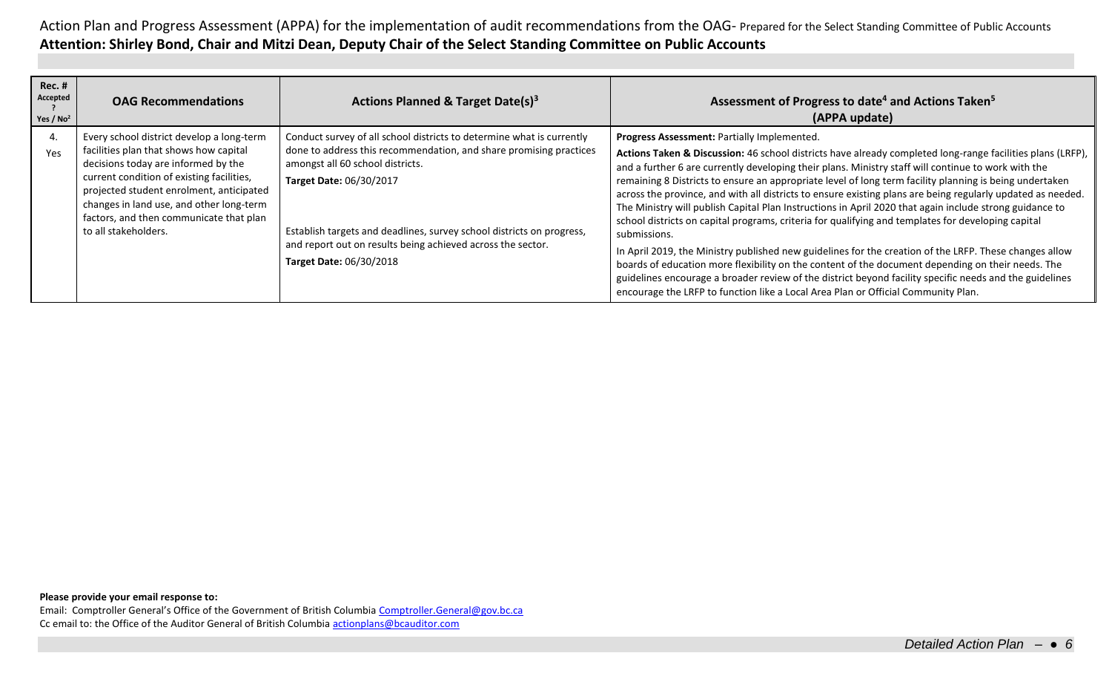| <b>Rec. #</b><br>Accepted<br>Yes / $No2$ | <b>OAG Recommendations</b>                                                                                                                                                                                                                                                                                                         | Actions Planned & Target Date(s) <sup>3</sup>                                                                                                                                                                                                                                                                                                                                 | Assessment of Progress to date <sup>4</sup> and Actions Taken <sup>5</sup><br>(APPA update)                                                                                                                                                                                                                                                                                                                                                                                                                                                                                                                                                                                                                                                                                                                                                                                                                                                                                                                                                                                                                                                |
|------------------------------------------|------------------------------------------------------------------------------------------------------------------------------------------------------------------------------------------------------------------------------------------------------------------------------------------------------------------------------------|-------------------------------------------------------------------------------------------------------------------------------------------------------------------------------------------------------------------------------------------------------------------------------------------------------------------------------------------------------------------------------|--------------------------------------------------------------------------------------------------------------------------------------------------------------------------------------------------------------------------------------------------------------------------------------------------------------------------------------------------------------------------------------------------------------------------------------------------------------------------------------------------------------------------------------------------------------------------------------------------------------------------------------------------------------------------------------------------------------------------------------------------------------------------------------------------------------------------------------------------------------------------------------------------------------------------------------------------------------------------------------------------------------------------------------------------------------------------------------------------------------------------------------------|
| 4.<br>Yes                                | Every school district develop a long-term<br>facilities plan that shows how capital<br>decisions today are informed by the<br>current condition of existing facilities,<br>projected student enrolment, anticipated<br>changes in land use, and other long-term<br>factors, and then communicate that plan<br>to all stakeholders. | Conduct survey of all school districts to determine what is currently<br>done to address this recommendation, and share promising practices<br>amongst all 60 school districts.<br>Target Date: 06/30/2017<br>Establish targets and deadlines, survey school districts on progress,<br>and report out on results being achieved across the sector.<br>Target Date: 06/30/2018 | Progress Assessment: Partially Implemented.<br>Actions Taken & Discussion: 46 school districts have already completed long-range facilities plans (LRFP),<br>and a further 6 are currently developing their plans. Ministry staff will continue to work with the<br>remaining 8 Districts to ensure an appropriate level of long term facility planning is being undertaken<br>across the province, and with all districts to ensure existing plans are being regularly updated as needed.<br>The Ministry will publish Capital Plan Instructions in April 2020 that again include strong guidance to<br>school districts on capital programs, criteria for qualifying and templates for developing capital<br>submissions.<br>In April 2019, the Ministry published new guidelines for the creation of the LRFP. These changes allow<br>boards of education more flexibility on the content of the document depending on their needs. The<br>guidelines encourage a broader review of the district beyond facility specific needs and the guidelines<br>encourage the LRFP to function like a Local Area Plan or Official Community Plan. |